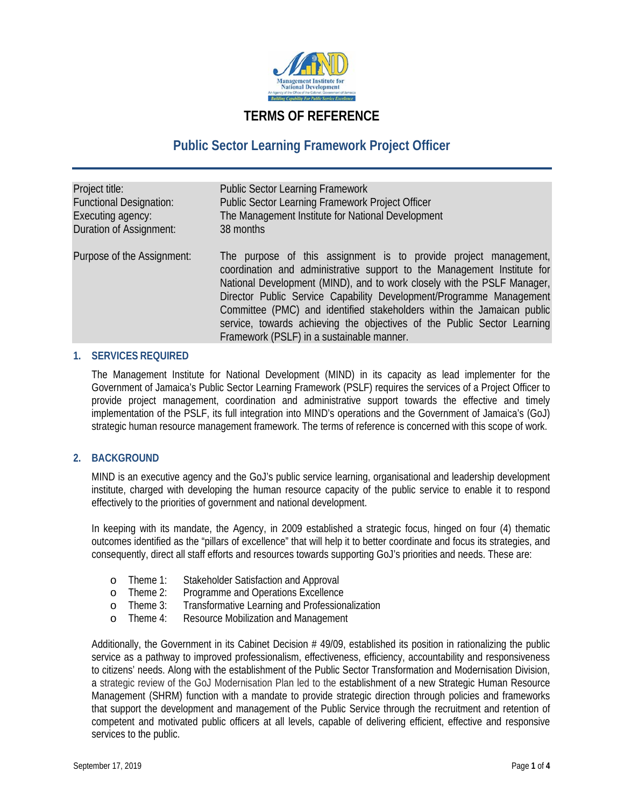

# **TERMS OF REFERENCE**

# **Public Sector Learning Framework Project Officer**

| Project title:                 | <b>Public Sector Learning Framework</b>                                                                                                                                                                                                                                                                                                                                                                                                                                                         |
|--------------------------------|-------------------------------------------------------------------------------------------------------------------------------------------------------------------------------------------------------------------------------------------------------------------------------------------------------------------------------------------------------------------------------------------------------------------------------------------------------------------------------------------------|
| <b>Functional Designation:</b> | Public Sector Learning Framework Project Officer                                                                                                                                                                                                                                                                                                                                                                                                                                                |
| Executing agency:              | The Management Institute for National Development                                                                                                                                                                                                                                                                                                                                                                                                                                               |
| <b>Duration of Assignment:</b> | 38 months                                                                                                                                                                                                                                                                                                                                                                                                                                                                                       |
| Purpose of the Assignment:     | The purpose of this assignment is to provide project management,<br>coordination and administrative support to the Management Institute for<br>National Development (MIND), and to work closely with the PSLF Manager,<br>Director Public Service Capability Development/Programme Management<br>Committee (PMC) and identified stakeholders within the Jamaican public<br>service, towards achieving the objectives of the Public Sector Learning<br>Framework (PSLF) in a sustainable manner. |

### **1. SERVICES REQUIRED**

The Management Institute for National Development (MIND) in its capacity as lead implementer for the Government of Jamaica's Public Sector Learning Framework (PSLF) requires the services of a Project Officer to provide project management, coordination and administrative support towards the effective and timely implementation of the PSLF, its full integration into MIND's operations and the Government of Jamaica's (GoJ) strategic human resource management framework. The terms of reference is concerned with this scope of work.

### **2. BACKGROUND**

MIND is an executive agency and the GoJ's public service learning, organisational and leadership development institute, charged with developing the human resource capacity of the public service to enable it to respond effectively to the priorities of government and national development.

In keeping with its mandate, the Agency, in 2009 established a strategic focus, hinged on four (4) thematic outcomes identified as the "pillars of excellence" that will help it to better coordinate and focus its strategies, and consequently, direct all staff efforts and resources towards supporting GoJ's priorities and needs. These are:

- o Theme 1: Stakeholder Satisfaction and Approval
- o Theme 2: Programme and Operations Excellence
- o Theme 3: Transformative Learning and Professionalization
- o Theme 4: Resource Mobilization and Management

Additionally, the Government in its Cabinet Decision # 49/09, established its position in rationalizing the public service as a pathway to improved professionalism, effectiveness, efficiency, accountability and responsiveness to citizens' needs. Along with the establishment of the Public Sector Transformation and Modernisation Division, a strategic review of the GoJ Modernisation Plan led to the establishment of a new Strategic Human Resource Management (SHRM) function with a mandate to provide strategic direction through policies and frameworks that support the development and management of the Public Service through the recruitment and retention of competent and motivated public officers at all levels, capable of delivering efficient, effective and responsive services to the public.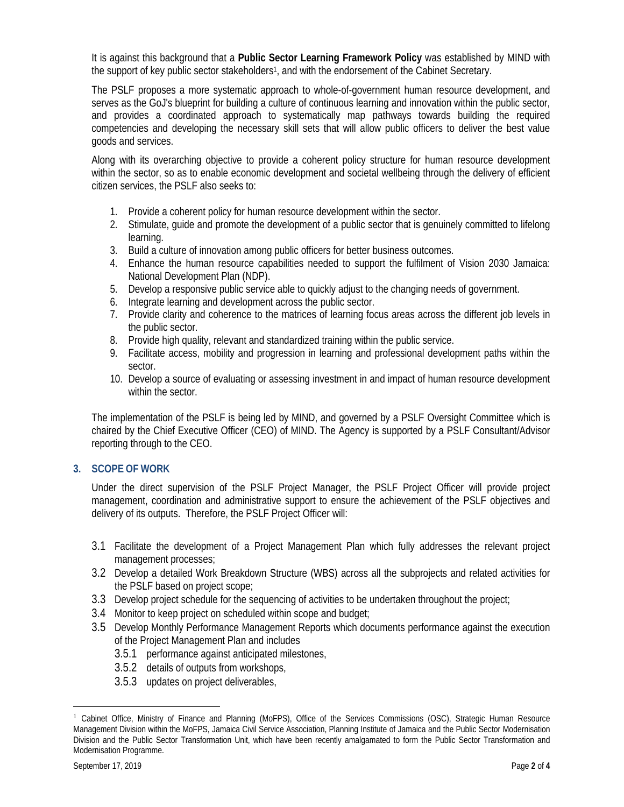It is against this background that a **Public Sector Learning Framework Policy** was established by MIND with the support of key public sector stakeholders<sup>1</sup>, and with the endorsement of the Cabinet Secretary.

The PSLF proposes a more systematic approach to whole-of-government human resource development, and serves as the GoJ's blueprint for building a culture of continuous learning and innovation within the public sector, and provides a coordinated approach to systematically map pathways towards building the required competencies and developing the necessary skill sets that will allow public officers to deliver the best value goods and services.

Along with its overarching objective to provide a coherent policy structure for human resource development within the sector, so as to enable economic development and societal wellbeing through the delivery of efficient citizen services, the PSLF also seeks to:

- 1. Provide a coherent policy for human resource development within the sector.
- 2. Stimulate, guide and promote the development of a public sector that is genuinely committed to lifelong learning.
- 3. Build a culture of innovation among public officers for better business outcomes.
- 4. Enhance the human resource capabilities needed to support the fulfilment of Vision 2030 Jamaica: National Development Plan (NDP).
- 5. Develop a responsive public service able to quickly adjust to the changing needs of government.
- 6. Integrate learning and development across the public sector.
- 7. Provide clarity and coherence to the matrices of learning focus areas across the different job levels in the public sector.
- 8. Provide high quality, relevant and standardized training within the public service.
- 9. Facilitate access, mobility and progression in learning and professional development paths within the sector.
- 10. Develop a source of evaluating or assessing investment in and impact of human resource development within the sector.

The implementation of the PSLF is being led by MIND, and governed by a PSLF Oversight Committee which is chaired by the Chief Executive Officer (CEO) of MIND. The Agency is supported by a PSLF Consultant/Advisor reporting through to the CEO.

# **3. SCOPE OF WORK**

Under the direct supervision of the PSLF Project Manager, the PSLF Project Officer will provide project management, coordination and administrative support to ensure the achievement of the PSLF objectives and delivery of its outputs. Therefore, the PSLF Project Officer will:

- 3.1 Facilitate the development of a Project Management Plan which fully addresses the relevant project management processes;
- 3.2 Develop a detailed Work Breakdown Structure (WBS) across all the subprojects and related activities for the PSLF based on project scope;
- 3.3 Develop project schedule for the sequencing of activities to be undertaken throughout the project;
- 3.4 Monitor to keep project on scheduled within scope and budget;
- 3.5 Develop Monthly Performance Management Reports which documents performance against the execution of the Project Management Plan and includes
	- 3.5.1 performance against anticipated milestones,
	- 3.5.2 details of outputs from workshops,
	- 3.5.3 updates on project deliverables,

<sup>1</sup> Cabinet Office, Ministry of Finance and Planning (MoFPS), Office of the Services Commissions (OSC), Strategic Human Resource Management Division within the MoFPS, Jamaica Civil Service Association, Planning Institute of Jamaica and the Public Sector Modernisation Division and the Public Sector Transformation Unit, which have been recently amalgamated to form the Public Sector Transformation and Modernisation Programme.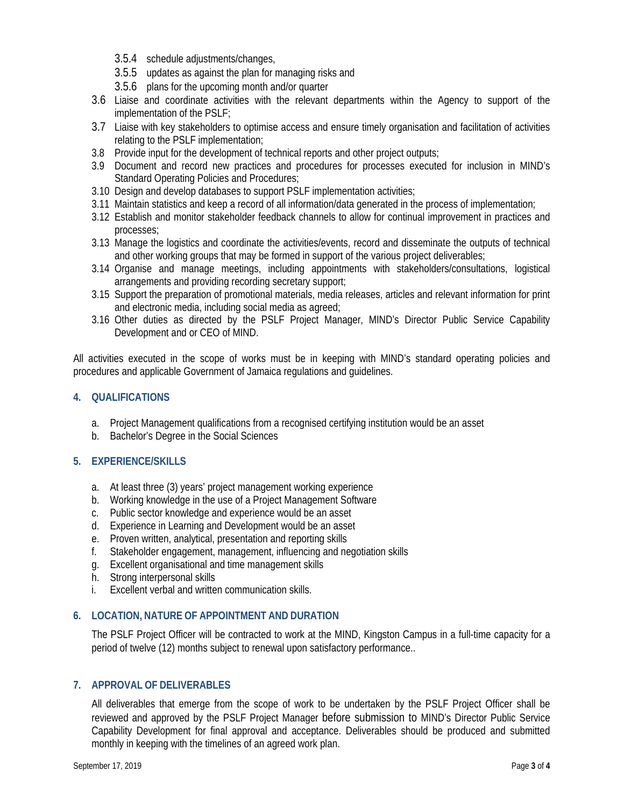- 3.5.4 schedule adjustments/changes,
- 3.5.5 updates as against the plan for managing risks and
- 3.5.6 plans for the upcoming month and/or quarter
- 3.6 Liaise and coordinate activities with the relevant departments within the Agency to support of the implementation of the PSLF;
- 3.7 Liaise with key stakeholders to optimise access and ensure timely organisation and facilitation of activities relating to the PSLF implementation;
- 3.8 Provide input for the development of technical reports and other project outputs;
- 3.9 Document and record new practices and procedures for processes executed for inclusion in MIND's Standard Operating Policies and Procedures;
- 3.10 Design and develop databases to support PSLF implementation activities;
- 3.11 Maintain statistics and keep a record of all information/data generated in the process of implementation;
- 3.12 Establish and monitor stakeholder feedback channels to allow for continual improvement in practices and processes;
- 3.13 Manage the logistics and coordinate the activities/events, record and disseminate the outputs of technical and other working groups that may be formed in support of the various project deliverables;
- 3.14 Organise and manage meetings, including appointments with stakeholders/consultations, logistical arrangements and providing recording secretary support;
- 3.15 Support the preparation of promotional materials, media releases, articles and relevant information for print and electronic media, including social media as agreed;
- 3.16 Other duties as directed by the PSLF Project Manager, MIND's Director Public Service Capability Development and or CEO of MIND.

All activities executed in the scope of works must be in keeping with MIND's standard operating policies and procedures and applicable Government of Jamaica regulations and guidelines.

## **4. QUALIFICATIONS**

- a. Project Management qualifications from a recognised certifying institution would be an asset
- b. Bachelor's Degree in the Social Sciences

# **5. EXPERIENCE/SKILLS**

- a. At least three (3) years' project management working experience
- b. Working knowledge in the use of a Project Management Software
- c. Public sector knowledge and experience would be an asset
- d. Experience in Learning and Development would be an asset
- e. Proven written, analytical, presentation and reporting skills
- f. Stakeholder engagement, management, influencing and negotiation skills
- g. Excellent organisational and time management skills
- h. Strong interpersonal skills
- i. Excellent verbal and written communication skills.

# **6. LOCATION, NATURE OF APPOINTMENT AND DURATION**

The PSLF Project Officer will be contracted to work at the MIND, Kingston Campus in a full-time capacity for a period of twelve (12) months subject to renewal upon satisfactory performance..

### **7. APPROVAL OF DELIVERABLES**

All deliverables that emerge from the scope of work to be undertaken by the PSLF Project Officer shall be reviewed and approved by the PSLF Project Manager before submission to MIND's Director Public Service Capability Development for final approval and acceptance. Deliverables should be produced and submitted monthly in keeping with the timelines of an agreed work plan.